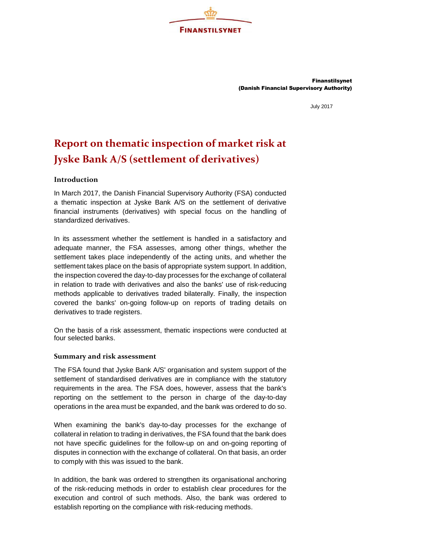

Finanstilsynet (Danish Financial Supervisory Authority)

July 2017

## Report on thematic inspection of market risk at Jyske Bank A/S (settlement of derivatives)

## Introduction

In March 2017, the Danish Financial Supervisory Authority (FSA) conducted a thematic inspection at Jyske Bank A/S on the settlement of derivative financial instruments (derivatives) with special focus on the handling of standardized derivatives.

In its assessment whether the settlement is handled in a satisfactory and adequate manner, the FSA assesses, among other things, whether the settlement takes place independently of the acting units, and whether the settlement takes place on the basis of appropriate system support. In addition, the inspection covered the day-to-day processes for the exchange of collateral in relation to trade with derivatives and also the banks' use of risk-reducing methods applicable to derivatives traded bilaterally. Finally, the inspection covered the banks' on-going follow-up on reports of trading details on derivatives to trade registers.

On the basis of a risk assessment, thematic inspections were conducted at four selected banks.

## Summary and risk assessment

The FSA found that Jyske Bank A/S' organisation and system support of the settlement of standardised derivatives are in compliance with the statutory requirements in the area. The FSA does, however, assess that the bank's reporting on the settlement to the person in charge of the day-to-day operations in the area must be expanded, and the bank was ordered to do so.

When examining the bank's day-to-day processes for the exchange of collateral in relation to trading in derivatives, the FSA found that the bank does not have specific guidelines for the follow-up on and on-going reporting of disputes in connection with the exchange of collateral. On that basis, an order to comply with this was issued to the bank.

In addition, the bank was ordered to strengthen its organisational anchoring of the risk-reducing methods in order to establish clear procedures for the execution and control of such methods. Also, the bank was ordered to establish reporting on the compliance with risk-reducing methods.